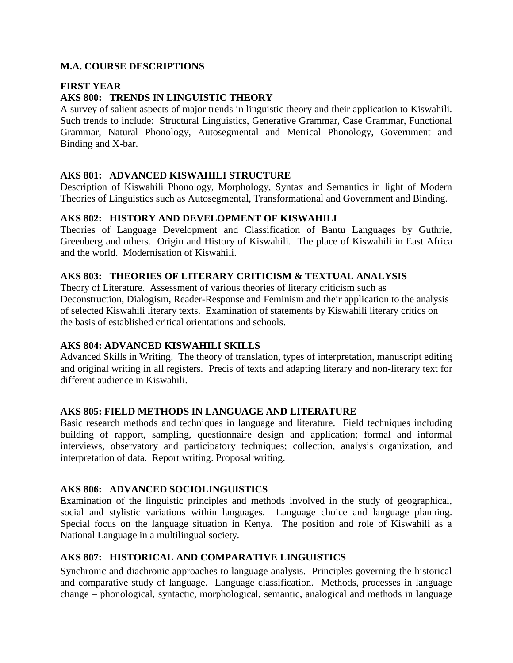## **M.A. COURSE DESCRIPTIONS**

## **FIRST YEAR**

# **AKS 800: TRENDS IN LINGUISTIC THEORY**

A survey of salient aspects of major trends in linguistic theory and their application to Kiswahili. Such trends to include: Structural Linguistics, Generative Grammar, Case Grammar, Functional Grammar, Natural Phonology, Autosegmental and Metrical Phonology, Government and Binding and X-bar.

## **AKS 801: ADVANCED KISWAHILI STRUCTURE**

Description of Kiswahili Phonology, Morphology, Syntax and Semantics in light of Modern Theories of Linguistics such as Autosegmental, Transformational and Government and Binding.

### **AKS 802: HISTORY AND DEVELOPMENT OF KISWAHILI**

Theories of Language Development and Classification of Bantu Languages by Guthrie, Greenberg and others. Origin and History of Kiswahili. The place of Kiswahili in East Africa and the world. Modernisation of Kiswahili.

# **AKS 803: THEORIES OF LITERARY CRITICISM & TEXTUAL ANALYSIS**

Theory of Literature. Assessment of various theories of literary criticism such as Deconstruction, Dialogism, Reader-Response and Feminism and their application to the analysis of selected Kiswahili literary texts. Examination of statements by Kiswahili literary critics on the basis of established critical orientations and schools.

# **AKS 804: ADVANCED KISWAHILI SKILLS**

Advanced Skills in Writing. The theory of translation, types of interpretation, manuscript editing and original writing in all registers. Precis of texts and adapting literary and non-literary text for different audience in Kiswahili.

### **AKS 805: FIELD METHODS IN LANGUAGE AND LITERATURE**

Basic research methods and techniques in language and literature. Field techniques including building of rapport, sampling, questionnaire design and application; formal and informal interviews, observatory and participatory techniques; collection, analysis organization, and interpretation of data. Report writing. Proposal writing.

## **AKS 806: ADVANCED SOCIOLINGUISTICS**

Examination of the linguistic principles and methods involved in the study of geographical, social and stylistic variations within languages. Language choice and language planning. Special focus on the language situation in Kenya. The position and role of Kiswahili as a National Language in a multilingual society.

# **AKS 807: HISTORICAL AND COMPARATIVE LINGUISTICS**

Synchronic and diachronic approaches to language analysis. Principles governing the historical and comparative study of language. Language classification. Methods, processes in language change – phonological, syntactic, morphological, semantic, analogical and methods in language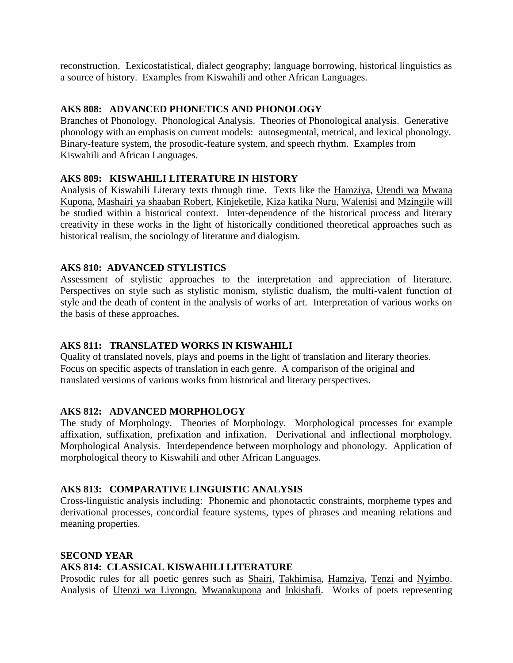reconstruction. Lexicostatistical, dialect geography; language borrowing, historical linguistics as a source of history. Examples from Kiswahili and other African Languages.

## **AKS 808: ADVANCED PHONETICS AND PHONOLOGY**

Branches of Phonology. Phonological Analysis. Theories of Phonological analysis. Generative phonology with an emphasis on current models: autosegmental, metrical, and lexical phonology. Binary-feature system, the prosodic-feature system, and speech rhythm. Examples from Kiswahili and African Languages.

### **AKS 809: KISWAHILI LITERATURE IN HISTORY**

Analysis of Kiswahili Literary texts through time. Texts like the Hamziya, Utendi wa Mwana Kupona, Mashairi ya shaaban Robert, Kinjeketile, Kiza katika Nuru, Walenisi and Mzingile will be studied within a historical context. Inter-dependence of the historical process and literary creativity in these works in the light of historically conditioned theoretical approaches such as historical realism, the sociology of literature and dialogism.

## **AKS 810: ADVANCED STYLISTICS**

Assessment of stylistic approaches to the interpretation and appreciation of literature. Perspectives on style such as stylistic monism, stylistic dualism, the multi-valent function of style and the death of content in the analysis of works of art. Interpretation of various works on the basis of these approaches.

# **AKS 811: TRANSLATED WORKS IN KISWAHILI**

Quality of translated novels, plays and poems in the light of translation and literary theories. Focus on specific aspects of translation in each genre. A comparison of the original and translated versions of various works from historical and literary perspectives.

# **AKS 812: ADVANCED MORPHOLOGY**

The study of Morphology. Theories of Morphology. Morphological processes for example affixation, suffixation, prefixation and infixation. Derivational and inflectional morphology. Morphological Analysis. Interdependence between morphology and phonology. Application of morphological theory to Kiswahili and other African Languages.

# **AKS 813: COMPARATIVE LINGUISTIC ANALYSIS**

Cross-linguistic analysis including: Phonemic and phonotactic constraints, morpheme types and derivational processes, concordial feature systems, types of phrases and meaning relations and meaning properties.

# **SECOND YEAR AKS 814: CLASSICAL KISWAHILI LITERATURE**

Prosodic rules for all poetic genres such as Shairi, Takhimisa, Hamziya, Tenzi and Nyimbo. Analysis of Utenzi wa Liyongo, Mwanakupona and Inkishafi. Works of poets representing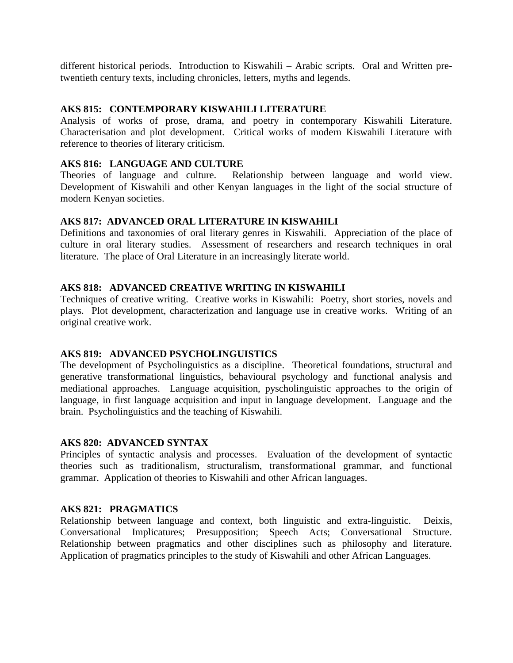different historical periods. Introduction to Kiswahili – Arabic scripts. Oral and Written pretwentieth century texts, including chronicles, letters, myths and legends.

### **AKS 815: CONTEMPORARY KISWAHILI LITERATURE**

Analysis of works of prose, drama, and poetry in contemporary Kiswahili Literature. Characterisation and plot development. Critical works of modern Kiswahili Literature with reference to theories of literary criticism.

## **AKS 816: LANGUAGE AND CULTURE**

Theories of language and culture. Relationship between language and world view. Development of Kiswahili and other Kenyan languages in the light of the social structure of modern Kenyan societies.

## **AKS 817: ADVANCED ORAL LITERATURE IN KISWAHILI**

Definitions and taxonomies of oral literary genres in Kiswahili. Appreciation of the place of culture in oral literary studies. Assessment of researchers and research techniques in oral literature. The place of Oral Literature in an increasingly literate world.

## **AKS 818: ADVANCED CREATIVE WRITING IN KISWAHILI**

Techniques of creative writing. Creative works in Kiswahili: Poetry, short stories, novels and plays. Plot development, characterization and language use in creative works. Writing of an original creative work.

### **AKS 819: ADVANCED PSYCHOLINGUISTICS**

The development of Psycholinguistics as a discipline. Theoretical foundations, structural and generative transformational linguistics, behavioural psychology and functional analysis and mediational approaches. Language acquisition, pyscholinguistic approaches to the origin of language, in first language acquisition and input in language development. Language and the brain. Psycholinguistics and the teaching of Kiswahili.

### **AKS 820: ADVANCED SYNTAX**

Principles of syntactic analysis and processes. Evaluation of the development of syntactic theories such as traditionalism, structuralism, transformational grammar, and functional grammar. Application of theories to Kiswahili and other African languages.

### **AKS 821: PRAGMATICS**

Relationship between language and context, both linguistic and extra-linguistic. Deixis, Conversational Implicatures; Presupposition; Speech Acts; Conversational Structure. Relationship between pragmatics and other disciplines such as philosophy and literature. Application of pragmatics principles to the study of Kiswahili and other African Languages.